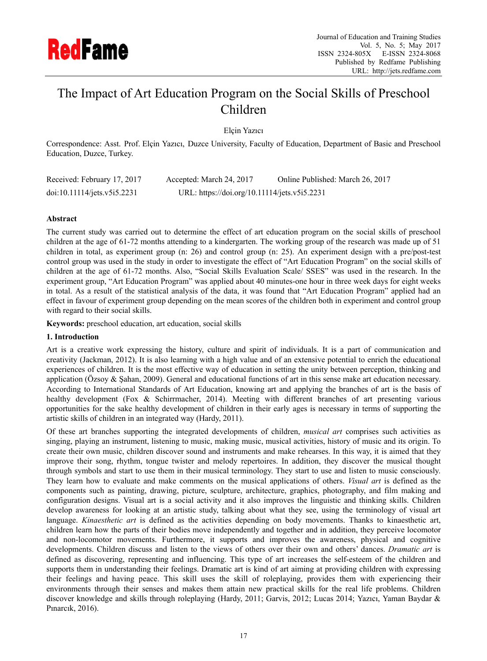

# The Impact of Art Education Program on the Social Skills of Preschool Children

Elçin Yazıcı

Correspondence: Asst. Prof. Elçin Yazıcı, Duzce University, Faculty of Education, Department of Basic and Preschool Education, Duzce, Turkey.

| Received: February 17, 2017 | Accepted: March 24, 2017                     | Online Published: March 26, 2017 |
|-----------------------------|----------------------------------------------|----------------------------------|
| doi:10.11114/jets.v5i5.2231 | URL: https://doi.org/10.11114/jets.v5i5.2231 |                                  |

## **Abstract**

The current study was carried out to determine the effect of art education program on the social skills of preschool children at the age of 61-72 months attending to a kindergarten. The working group of the research was made up of 51 children in total, as experiment group (n: 26) and control group (n: 25). An experiment design with a pre/post-test control group was used in the study in order to investigate the effect of "Art Education Program" on the social skills of children at the age of 61-72 months. Also, "Social Skills Evaluation Scale/ SSES" was used in the research. In the experiment group, "Art Education Program" was applied about 40 minutes-one hour in three week days for eight weeks in total. As a result of the statistical analysis of the data, it was found that "Art Education Program" applied had an effect in favour of experiment group depending on the mean scores of the children both in experiment and control group with regard to their social skills.

**Keywords:** preschool education, art education, social skills

#### **1. Introduction**

Art is a creative work expressing the history, culture and spirit of individuals. It is a part of communication and creativity (Jackman, 2012). It is also learning with a high value and of an extensive potential to enrich the educational experiences of children. It is the most effective way of education in setting the unity between perception, thinking and application (Özsoy  $\&$  Şahan, 2009). General and educational functions of art in this sense make art education necessary. According to International Standards of Art Education, knowing art and applying the branches of art is the basis of healthy development (Fox & Schirrmacher, 2014). Meeting with different branches of art presenting various opportunities for the sake healthy development of children in their early ages is necessary in terms of supporting the artistic skills of children in an integrated way (Hardy, 2011).

Of these art branches supporting the integrated developments of children, *musical art* comprises such activities as singing, playing an instrument, listening to music, making music, musical activities, history of music and its origin. To create their own music, children discover sound and instruments and make rehearses. In this way, it is aimed that they improve their song, rhythm, tongue twister and melody repertoires. In addition, they discover the musical thought through symbols and start to use them in their musical terminology. They start to use and listen to music consciously. They learn how to evaluate and make comments on the musical applications of others. *Visual art* is defined as the components such as painting, drawing, picture, sculpture, architecture, graphics, photography, and film making and configuration designs. Visual art is a social activity and it also improves the linguistic and thinking skills. Children develop awareness for looking at an artistic study, talking about what they see, using the terminology of visual art language. *Kinaesthetic art* is defined as the activities depending on body movements. Thanks to kinaesthetic art, children learn how the parts of their bodies move independently and together and in addition, they perceive locomotor and non-locomotor movements. Furthermore, it supports and improves the awareness, physical and cognitive developments. Children discuss and listen to the views of others over their own and others' dances. *Dramatic art* is defined as discovering, representing and influencing. This type of art increases the self-esteem of the children and supports them in understanding their feelings. Dramatic art is kind of art aiming at providing children with expressing their feelings and having peace. This skill uses the skill of roleplaying, provides them with experiencing their environments through their senses and makes them attain new practical skills for the real life problems. Children discover knowledge and skills through roleplaying (Hardy, 2011; Garvis, 2012; Lucas 2014; Yazıcı, Yaman Baydar & Pınarcık, 2016).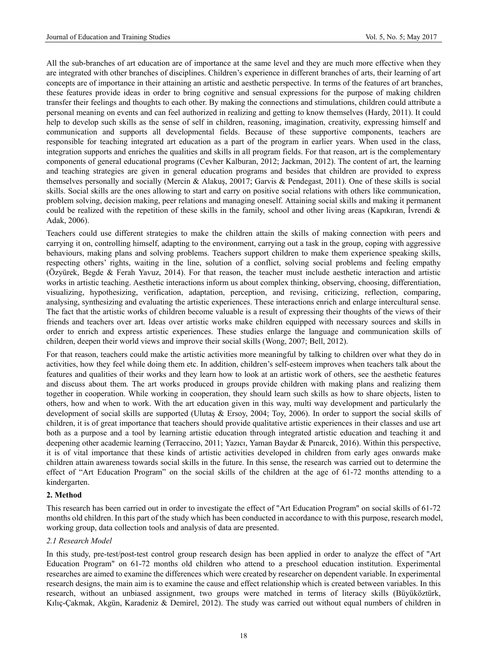All the sub-branches of art education are of importance at the same level and they are much more effective when they are integrated with other branches of disciplines. Children's experience in different branches of arts, their learning of art concepts are of importance in their attaining an artistic and aesthetic perspective. In terms of the features of art branches, these features provide ideas in order to bring cognitive and sensual expressions for the purpose of making children transfer their feelings and thoughts to each other. By making the connections and stimulations, children could attribute a personal meaning on events and can feel authorized in realizing and getting to know themselves (Hardy, 2011). It could help to develop such skills as the sense of self in children, reasoning, imagination, creativity, expressing himself and communication and supports all developmental fields. Because of these supportive components, teachers are responsible for teaching integrated art education as a part of the program in earlier years. When used in the class, integration supports and enriches the qualities and skills in all program fields. For that reason, art is the complementary components of general educational programs (Cevher Kalburan, 2012; Jackman, 2012). The content of art, the learning and teaching strategies are given in general education programs and besides that children are provided to express themselves personally and socially (Mercin & Alakuş, 20017; Garvis & Pendegast, 2011). One of these skills is social skills. Social skills are the ones allowing to start and carry on positive social relations with others like communication, problem solving, decision making, peer relations and managing oneself. Attaining social skills and making it permanent could be realized with the repetition of these skills in the family, school and other living areas (Kapıkıran, İvrendi  $\&$ Adak, 2006).

Teachers could use different strategies to make the children attain the skills of making connection with peers and carrying it on, controlling himself, adapting to the environment, carrying out a task in the group, coping with aggressive behaviours, making plans and solving problems. Teachers support children to make them experience speaking skills, respecting others' rights, waiting in the line, solution of a conflict, solving social problems and feeling empathy (Özyürek, Begde & Ferah Yavuz, 2014). For that reason, the teacher must include aesthetic interaction and artistic works in artistic teaching. Aesthetic interactions inform us about complex thinking, observing, choosing, differentiation, visualizing, hypothesizing, verification, adaptation, perception, and revising, criticizing, reflection, comparing, analysing, synthesizing and evaluating the artistic experiences. These interactions enrich and enlarge intercultural sense. The fact that the artistic works of children become valuable is a result of expressing their thoughts of the views of their friends and teachers over art. Ideas over artistic works make children equipped with necessary sources and skills in order to enrich and express artistic experiences. These studies enlarge the language and communication skills of children, deepen their world views and improve their social skills (Wong, 2007; Bell, 2012).

For that reason, teachers could make the artistic activities more meaningful by talking to children over what they do in activities, how they feel while doing them etc. In addition, children's self-esteem improves when teachers talk about the features and qualities of their works and they learn how to look at an artistic work of others, see the aesthetic features and discuss about them. The art works produced in groups provide children with making plans and realizing them together in cooperation. While working in cooperation, they should learn such skills as how to share objects, listen to others, how and when to work. With the art education given in this way, multi way development and particularly the development of social skills are supported (Ulutaş & Ersoy, 2004; Toy, 2006). In order to support the social skills of children, it is of great importance that teachers should provide qualitative artistic experiences in their classes and use art both as a purpose and a tool by learning artistic education through integrated artistic education and teaching it and deepening other academic learning (Terraccino, 2011; Yazıcı, Yaman Baydar & Pınarcık, 2016). Within this perspective, it is of vital importance that these kinds of artistic activities developed in children from early ages onwards make children attain awareness towards social skills in the future. In this sense, the research was carried out to determine the effect of "Art Education Program" on the social skills of the children at the age of 61-72 months attending to a kindergarten.

#### **2. Method**

This research has been carried out in order to investigate the effect of "Art Education Program" on social skills of 61-72 months old children. In this part of the study which has been conducted in accordance to with this purpose, research model, working group, data collection tools and analysis of data are presented.

#### *2.1 Research Model*

In this study, pre-test/post-test control group research design has been applied in order to analyze the effect of "Art Education Program" on 61-72 months old children who attend to a preschool education institution. Experimental researches are aimed to examine the differences which were created by researcher on dependent variable. In experimental research designs, the main aim is to examine the cause and effect relationship which is created between variables. In this research, without an unbiased assignment, two groups were matched in terms of literacy skills (Büyüköztürk, Kılıç-Çakmak, Akgün, Karadeniz & Demirel, 2012). The study was carried out without equal numbers of children in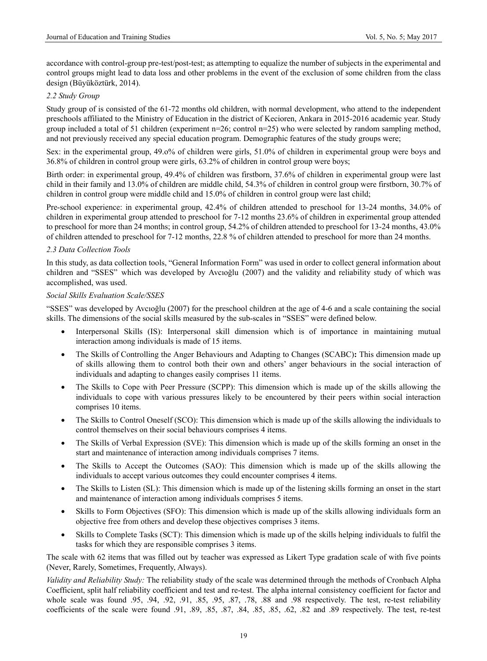accordance with control-group pre-test/post-test; as attempting to equalize the number of subjects in the experimental and control groups might lead to data loss and other problems in the event of the exclusion of some children from the class design (Büyüköztürk, 2014).

## *2.2 Study Group*

Study group of is consisted of the 61-72 months old children, with normal development, who attend to the independent preschools affiliated to the Ministry of Education in the district of Kecioren, Ankara in 2015-2016 academic year. Study group included a total of 51 children (experiment n=26; control n=25) who were selected by random sampling method, and not previously received any special education program. Demographic features of the study groups were;

Sex: in the experimental group, 49.o% of children were girls, 51.0% of children in experimental group were boys and 36.8% of children in control group were girls, 63.2% of children in control group were boys;

Birth order: in experimental group, 49.4% of children was firstborn, 37.6% of children in experimental group were last child in their family and 13.0% of children are middle child, 54.3% of children in control group were firstborn, 30.7% of children in control group were middle child and 15.0% of children in control group were last child;

Pre-school experience: in experimental group, 42.4% of children attended to preschool for 13-24 months, 34.0% of children in experimental group attended to preschool for 7-12 months 23.6% of children in experimental group attended to preschool for more than 24 months; in control group, 54.2% of children attended to preschool for 13-24 months, 43.0% of children attended to preschool for 7-12 months, 22.8 % of children attended to preschool for more than 24 months.

## *2.3 Data Collection Tools*

In this study, as data collection tools, "General Information Form" was used in order to collect general information about children and "SSES" which was developed by Avcıoğlu (2007) and the validity and reliability study of which was accomplished, was used.

#### *Social Skills Evaluation Scale/SSES*

"SSES" was developed by Avcıoğlu (2007) for the preschool children at the age of 4-6 and a scale containing the social skills. The dimensions of the social skills measured by the sub-scales in "SSES" were defined below.

- Interpersonal Skills (IS): Interpersonal skill dimension which is of importance in maintaining mutual interaction among individuals is made of 15 items.
- The Skills of Controlling the Anger Behaviours and Adapting to Changes (SCABC)**:** This dimension made up of skills allowing them to control both their own and others' anger behaviours in the social interaction of individuals and adapting to changes easily comprises 11 items.
- The Skills to Cope with Peer Pressure (SCPP): This dimension which is made up of the skills allowing the individuals to cope with various pressures likely to be encountered by their peers within social interaction comprises 10 items.
- The Skills to Control Oneself (SCO): This dimension which is made up of the skills allowing the individuals to control themselves on their social behaviours comprises 4 items.
- The Skills of Verbal Expression (SVE): This dimension which is made up of the skills forming an onset in the start and maintenance of interaction among individuals comprises 7 items.
- The Skills to Accept the Outcomes (SAO): This dimension which is made up of the skills allowing the individuals to accept various outcomes they could encounter comprises 4 items.
- The Skills to Listen (SL): This dimension which is made up of the listening skills forming an onset in the start and maintenance of interaction among individuals comprises 5 items.
- Skills to Form Objectives (SFO): This dimension which is made up of the skills allowing individuals form an objective free from others and develop these objectives comprises 3 items.
- Skills to Complete Tasks (SCT): This dimension which is made up of the skills helping individuals to fulfil the tasks for which they are responsible comprises 3 items.

The scale with 62 items that was filled out by teacher was expressed as Likert Type gradation scale of with five points (Never, Rarely, Sometimes, Frequently, Always).

*Validity and Reliability Study:* The reliability study of the scale was determined through the methods of Cronbach Alpha Coefficient, split half reliability coefficient and test and re-test. The alpha internal consistency coefficient for factor and whole scale was found .95, .94, .92, .91, .85, .95, .87, .78, .88 and .98 respectively. The test, re-test reliability coefficients of the scale were found .91, .89, .85, .87, .84, .85, .85, .62, .82 and .89 respectively. The test, re-test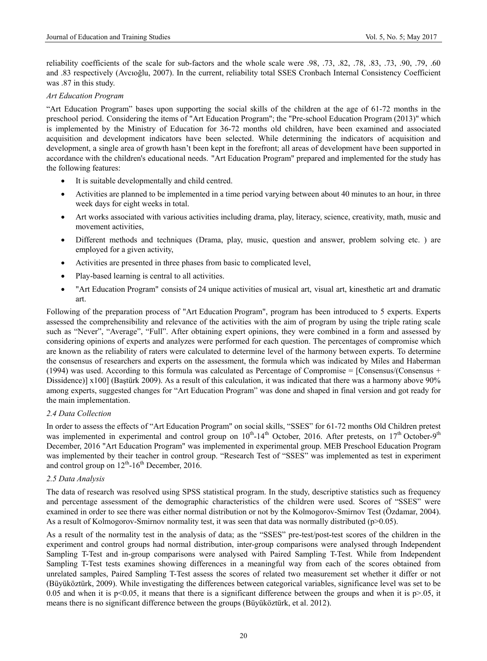reliability coefficients of the scale for sub-factors and the whole scale were .98, .73, .82, .78, .83, .73, .90, .79, .60 and .83 respectively (Avcıoğlu, 2007). In the current, reliability total SSES Cronbach Internal Consistency Coefficient was .87 in this study.

#### *Art Education Program*

"Art Education Program" bases upon supporting the social skills of the children at the age of 61-72 months in the preschool period. Considering the items of "Art Education Program"; the "Pre-school Education Program (2013)" which is implemented by the Ministry of Education for 36-72 months old children, have been examined and associated acquisition and development indicators have been selected. While determining the indicators of acquisition and development, a single area of growth hasn't been kept in the forefront; all areas of development have been supported in accordance with the children's educational needs. "Art Education Program" prepared and implemented for the study has the following features:

- It is suitable developmentally and child centred.
- Activities are planned to be implemented in a time period varying between about 40 minutes to an hour, in three week days for eight weeks in total.
- Art works associated with various activities including drama, play, literacy, science, creativity, math, music and movement activities,
- Different methods and techniques (Drama, play, music, question and answer, problem solving etc. ) are employed for a given activity,
- Activities are presented in three phases from basic to complicated level,
- Play-based learning is central to all activities.
- "Art Education Program" consists of 24 unique activities of musical art, visual art, kinesthetic art and dramatic art.

Following of the preparation process of "Art Education Program", program has been introduced to 5 experts. Experts assessed the comprehensibility and relevance of the activities with the aim of program by using the triple rating scale such as "Never", "Average", "Full". After obtaining expert opinions, they were combined in a form and assessed by considering opinions of experts and analyzes were performed for each question. The percentages of compromise which are known as the reliability of raters were calculated to determine level of the harmony between experts. To determine the consensus of researchers and experts on the assessment, the formula which was indicated by Miles and Haberman (1994) was used. According to this formula was calculated as Percentage of Compromise =  $[Consensus/$ (Consensus + Dissidence)] x100] (Baştürk 2009). As a result of this calculation, it was indicated that there was a harmony above 90% among experts, suggested changes for "Art Education Program" was done and shaped in final version and got ready for the main implementation.

# *2.4 Data Collection*

In order to assess the effects of "Art Education Program" on social skills, "SSES" for 61-72 months Old Children pretest was implemented in experimental and control group on  $10^{th}$ -14<sup>th</sup> October, 2016. After pretests, on  $17^{th}$  October-9<sup>th</sup> December, 2016 "Art Education Program" was implemented in experimental group. MEB Preschool Education Program was implemented by their teacher in control group. "Research Test of "SSES" was implemented as test in experiment and control group on  $12^{th}$ -16<sup>th</sup> December, 2016.

#### *2.5 Data Analysis*

The data of research was resolved using SPSS statistical program. In the study, descriptive statistics such as frequency and percentage assessment of the demographic characteristics of the children were used. Scores of "SSES" were examined in order to see there was either normal distribution or not by the Kolmogorov-Smirnov Test (Özdamar, 2004). As a result of Kolmogorov-Smirnov normality test, it was seen that data was normally distributed (p>0.05).

As a result of the normality test in the analysis of data; as the "SSES" pre-test/post-test scores of the children in the experiment and control groups had normal distribution, inter-group comparisons were analysed through Independent Sampling T-Test and in-group comparisons were analysed with Paired Sampling T-Test. While from Independent Sampling T-Test tests examines showing differences in a meaningful way from each of the scores obtained from unrelated samples, Paired Sampling T-Test assess the scores of related two measurement set whether it differ or not (Büyüköztürk, 2009). While investigating the differences between categorical variables, significance level was set to be 0.05 and when it is  $p<0.05$ , it means that there is a significant difference between the groups and when it is  $p>0.05$ , it means there is no significant difference between the groups (Büyüköztürk, et al. 2012).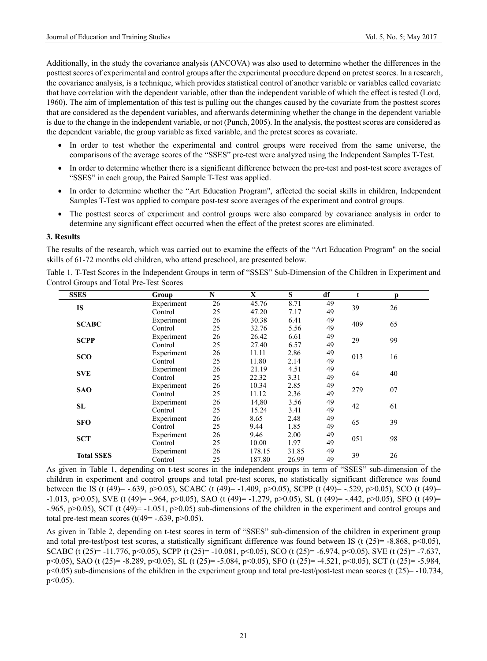Additionally, in the study the covariance analysis (ANCOVA) was also used to determine whether the differences in the posttest scores of experimental and control groups after the experimental procedure depend on pretest scores. In a research, the covariance analysis, is a technique, which provides statistical control of another variable or variables called covariate that have correlation with the dependent variable, other than the independent variable of which the effect is tested (Lord, 1960). The aim of implementation of this test is pulling out the changes caused by the covariate from the posttest scores that are considered as the dependent variables, and afterwards determining whether the change in the dependent variable is due to the change in the independent variable, or not (Punch, 2005). In the analysis, the posttest scores are considered as the dependent variable, the group variable as fixed variable, and the pretest scores as covariate.

- In order to test whether the experimental and control groups were received from the same universe, the comparisons of the average scores of the "SSES" pre-test were analyzed using the Independent Samples T-Test.
- In order to determine whether there is a significant difference between the pre-test and post-test score averages of "SSES" in each group, the Paired Sample T-Test was applied.
- In order to determine whether the "Art Education Program", affected the social skills in children, Independent Samples T-Test was applied to compare post-test score averages of the experiment and control groups.
- The posttest scores of experiment and control groups were also compared by covariance analysis in order to determine any significant effect occurred when the effect of the pretest scores are eliminated.

#### **3. Results**

The results of the research, which was carried out to examine the effects of the "Art Education Program" on the social skills of 61-72 months old children, who attend preschool, are presented below.

| Table 1. T-Test Scores in the Independent Groups in term of "SSES" Sub-Dimension of the Children in Experiment and |  |  |
|--------------------------------------------------------------------------------------------------------------------|--|--|
| Control Groups and Total Pre-Test Scores                                                                           |  |  |

| <b>SSES</b>       | Group      | N  | X      | S     | df | t   | p   |          |
|-------------------|------------|----|--------|-------|----|-----|-----|----------|
|                   | Experiment | 26 | 45.76  | 8.71  | 49 |     |     |          |
| <b>IS</b>         | Control    | 25 | 47.20  | 7.17  | 49 | 39  | 26  |          |
| <b>SCABC</b>      | Experiment | 26 | 30.38  | 6.41  | 49 | 409 | 65  |          |
|                   | Control    | 25 | 32.76  | 5.56  | 49 |     |     |          |
| <b>SCPP</b>       | Experiment | 26 | 26.42  | 6.61  | 49 | 29  | 99  |          |
|                   | Control    | 25 | 27.40  | 6.57  | 49 |     |     |          |
| <b>SCO</b>        | Experiment | 26 | 11.11  | 2.86  | 49 | 013 |     |          |
|                   | Control    | 25 | 11.80  | 2.14  | 49 |     |     | 16<br>40 |
| <b>SVE</b>        | Experiment | 26 | 21.19  | 4.51  | 49 | 64  |     |          |
|                   | Control    | 25 | 22.32  | 3.31  | 49 |     |     |          |
| <b>SAO</b>        | Experiment | 26 | 10.34  | 2.85  | 49 | 279 | .07 |          |
|                   | Control    | 25 | 11.12  | 2.36  | 49 |     |     |          |
| SL                | Experiment | 26 | 14,80  | 3.56  | 49 | 42  | 61  |          |
|                   | Control    | 25 | 15.24  | 3.41  | 49 |     |     |          |
| <b>SFO</b>        | Experiment | 26 | 8.65   | 2.48  | 49 | 65  | 39  |          |
|                   | Control    | 25 | 9.44   | 1.85  | 49 |     |     |          |
| <b>SCT</b>        | Experiment | 26 | 9.46   | 2.00  | 49 | 051 | 98  |          |
|                   | Control    | 25 | 10.00  | 1.97  | 49 |     |     |          |
| <b>Total SSES</b> | Experiment | 26 | 178.15 | 31.85 | 49 | 39  | 26  |          |
|                   | Control    | 25 | 187.80 | 26.99 | 49 |     |     |          |

As given in Table 1, depending on t-test scores in the independent groups in term of "SSES" sub-dimension of the children in experiment and control groups and total pre-test scores, no statistically significant difference was found between the IS (t (49)= -.639, p>0.05), SCABC (t (49)= -1.409, p>0.05), SCPP (t (49)= -.529, p>0.05), SCO (t (49)= -1.013, p>0.05), SVE (t (49)= -.964, p>0.05), SAO (t (49)= -1.279, p>0.05), SL (t (49)= -.442, p>0.05), SFO (t (49)= -.965, p $>0.05$ ), SCT (t (49)= -1.051, p $>0.05$ ) sub-dimensions of the children in the experiment and control groups and total pre-test mean scores (t( $49$ = -.639, p>0.05).

As given in Table 2, depending on t-test scores in term of "SSES" sub-dimension of the children in experiment group and total pre-test/post test scores, a statistically significant difference was found between IS (t  $(25)$ = -8.868, p<0.05), SCABC (t (25)= -11.776, p<0.05), SCPP (t (25)= -10.081, p<0.05), SCO (t (25)= -6.974, p<0.05), SVE (t (25)= -7.637, p<0.05), SAO (t (25)= -8.289, p<0.05), SL (t (25)= -5.084, p<0.05), SFO (t (25)= -4.521, p<0.05), SCT (t (25)= -5.984,  $p\leq 0.05$ ) sub-dimensions of the children in the experiment group and total pre-test/post-test mean scores (t (25)= -10.734, p<0.05).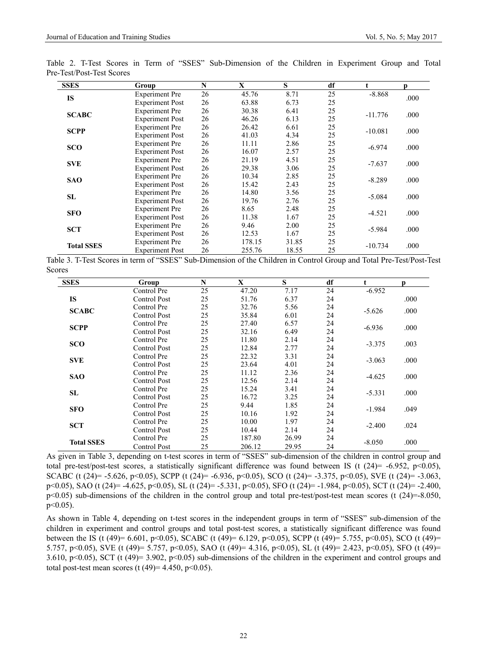| <b>SSES</b>       | Group                  | N  | X      | S     | df |           | p    |
|-------------------|------------------------|----|--------|-------|----|-----------|------|
| <b>IS</b>         | <b>Experiment Pre</b>  | 26 | 45.76  | 8.71  | 25 | $-8.868$  | .000 |
|                   | <b>Experiment Post</b> | 26 | 63.88  | 6.73  | 25 |           |      |
| <b>SCABC</b>      | <b>Experiment Pre</b>  | 26 | 30.38  | 6.41  | 25 | $-11.776$ | .000 |
|                   | <b>Experiment Post</b> | 26 | 46.26  | 6.13  | 25 |           |      |
| <b>SCPP</b>       | <b>Experiment Pre</b>  | 26 | 26.42  | 6.61  | 25 | $-10.081$ | .000 |
|                   | <b>Experiment Post</b> | 26 | 41.03  | 4.34  | 25 |           |      |
| <b>SCO</b>        | <b>Experiment Pre</b>  | 26 | 11.11  | 2.86  | 25 | $-6.974$  | .000 |
|                   | <b>Experiment Post</b> | 26 | 16.07  | 2.57  | 25 |           |      |
|                   | <b>Experiment</b> Pre  | 26 | 21.19  | 4.51  | 25 | $-7.637$  | .000 |
| <b>SVE</b>        | <b>Experiment Post</b> | 26 | 29.38  | 3.06  | 25 |           |      |
| <b>SAO</b>        | <b>Experiment</b> Pre  | 26 | 10.34  | 2.85  | 25 | $-8.289$  | .000 |
|                   | <b>Experiment Post</b> | 26 | 15.42  | 2.43  | 25 |           |      |
| SL                | <b>Experiment</b> Pre  | 26 | 14.80  | 3.56  | 25 | $-5.084$  | .000 |
|                   | <b>Experiment Post</b> | 26 | 19.76  | 2.76  | 25 |           |      |
| <b>SFO</b>        | <b>Experiment Pre</b>  | 26 | 8.65   | 2.48  | 25 | $-4.521$  |      |
|                   | <b>Experiment Post</b> | 26 | 11.38  | 1.67  | 25 |           | .000 |
| <b>SCT</b>        | <b>Experiment</b> Pre  | 26 | 9.46   | 2.00  | 25 | $-5.984$  |      |
|                   | <b>Experiment Post</b> | 26 | 12.53  | 1.67  | 25 |           | .000 |
| <b>Total SSES</b> | <b>Experiment Pre</b>  | 26 | 178.15 | 31.85 | 25 |           |      |
|                   | <b>Experiment Post</b> | 26 | 255.76 | 18.55 | 25 | $-10.734$ | .000 |

Table 2. T-Test Scores in Term of "SSES" Sub-Dimension of the Children in Experiment Group and Total Pre-Test/Post-Test Scores

Table 3. T-Test Scores in term of "SSES" Sub-Dimension of the Children in Control Group and Total Pre-Test/Post-Test Scores

| <b>SSES</b>       | Group                                            | N  | X      | S     | df |          | p    |
|-------------------|--------------------------------------------------|----|--------|-------|----|----------|------|
|                   | Control Pre                                      | 25 | 47.20  | 7.17  | 24 | $-6.952$ |      |
| <b>IS</b>         | <b>Control Post</b>                              | 25 | 51.76  | 6.37  | 24 |          | .000 |
| <b>SCABC</b>      | Control Pre                                      | 25 | 32.76  | 5.56  | 24 | $-5.626$ | .000 |
|                   | <b>Control Post</b>                              | 25 | 35.84  | 6.01  | 24 |          |      |
| <b>SCPP</b>       | Control Pre                                      | 25 | 27.40  | 6.57  | 24 |          | .000 |
|                   | <b>Control Post</b>                              | 25 | 32.16  | 6.49  | 24 | $-6.936$ |      |
| <b>SCO</b>        | Control Pre                                      | 25 | 11.80  | 2.14  | 24 |          | .003 |
|                   | <b>Control Post</b>                              | 25 | 12.84  | 2.77  | 24 | $-3.375$ |      |
| <b>SVE</b>        | Control Pre                                      | 25 | 22.32  | 3.31  | 24 | $-3.063$ | .000 |
|                   | 25<br>24<br>23.64<br>4.01<br><b>Control Post</b> |    |        |       |    |          |      |
| <b>SAO</b>        | Control Pre                                      | 25 | 11.12  | 2.36  | 24 | $-4.625$ | .000 |
|                   | <b>Control Post</b>                              | 25 | 12.56  | 2.14  | 24 |          |      |
| <b>SL</b>         | Control Pre                                      | 25 | 15.24  | 3.41  | 24 | $-5.331$ | .000 |
|                   | <b>Control Post</b>                              | 25 | 16.72  | 3.25  | 24 |          |      |
| <b>SFO</b>        | Control Pre                                      | 25 | 9.44   | 1.85  | 24 | $-1.984$ | .049 |
|                   | <b>Control Post</b>                              | 25 | 10.16  | 1.92  | 24 |          |      |
| <b>SCT</b>        | Control Pre                                      | 25 | 10.00  | 1.97  | 24 | $-2.400$ | .024 |
|                   | Control Post                                     | 25 | 10.44  | 2.14  | 24 |          |      |
| <b>Total SSES</b> | Control Pre                                      | 25 | 187.80 | 26.99 | 24 | $-8.050$ | .000 |
|                   | <b>Control Post</b>                              | 25 | 206.12 | 29.95 | 24 |          |      |

As given in Table 3, depending on t-test scores in term of "SSES" sub-dimension of the children in control group and total pre-test/post-test scores, a statistically significant difference was found between IS (t  $(24)$ = -6.952, p<0.05), SCABC (t (24)= -5.626, p<0.05), SCPP (t (24)= -6.936, p<0.05), SCO (t (24)= -3.375, p<0.05), SVE (t (24)= -3.063, p<0.05), SAO (t (24)= -4.625, p<0.05), SL (t (24)= -5.331, p<0.05), SFO (t (24)= -1.984, p<0.05), SCT (t (24)= -2.400,  $p\leq 0.05$ ) sub-dimensions of the children in the control group and total pre-test/post-test mean scores (t (24)=-8.050, p<0.05).

As shown in Table 4, depending on t-test scores in the independent groups in term of "SSES" sub-dimension of the children in experiment and control groups and total post-test scores, a statistically significant difference was found between the IS (t (49)= 6.601, p<0.05), SCABC (t (49)= 6.129, p<0.05), SCPP (t (49)= 5.755, p<0.05), SCO (t (49)= 5.757, p<0.05), SVE (t (49)= 5.757, p<0.05), SAO (t (49)= 4.316, p<0.05), SL (t (49)= 2.423, p<0.05), SFO (t (49)= 3.610, p $\leq$ 0.05), SCT (t (49)= 3.902, p $\leq$ 0.05) sub-dimensions of the children in the experiment and control groups and total post-test mean scores (t  $(49)=4.450$ , p $<0.05$ ).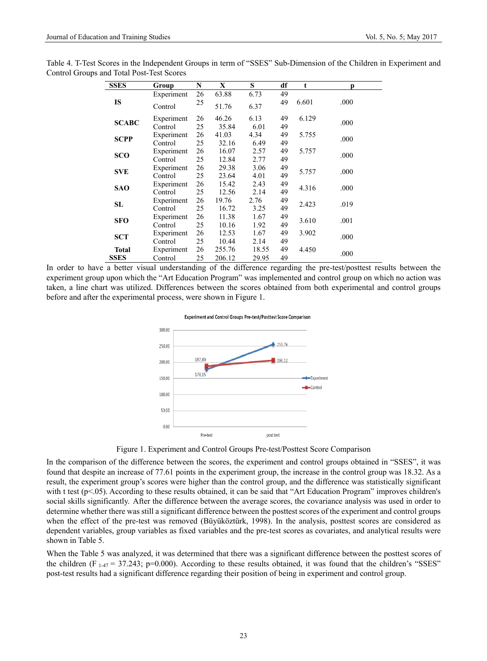| <b>SSES</b>  | Group      | N  | X      | S     | df | t     | D    |  |
|--------------|------------|----|--------|-------|----|-------|------|--|
|              | Experiment | 26 | 63.88  | 6.73  | 49 |       |      |  |
| <b>IS</b>    | Control    | 25 | 51.76  | 6.37  | 49 | 6.601 | .000 |  |
| <b>SCABC</b> | Experiment | 26 | 46.26  | 6.13  | 49 | 6.129 | .000 |  |
|              | Control    | 25 | 35.84  | 6.01  | 49 |       |      |  |
| <b>SCPP</b>  | Experiment | 26 | 41.03  | 4.34  | 49 | 5.755 | .000 |  |
|              | Control    | 25 | 32.16  | 6.49  | 49 |       |      |  |
|              | Experiment | 26 | 16.07  | 2.57  | 49 | 5.757 |      |  |
| <b>SCO</b>   | Control    | 25 | 12.84  | 2.77  | 49 |       | .000 |  |
|              | Experiment | 26 | 29.38  | 3.06  | 49 |       |      |  |
| <b>SVE</b>   | Control    | 25 | 23.64  | 4.01  | 49 | 5.757 | .000 |  |
|              | Experiment | 26 | 15.42  | 2.43  | 49 |       |      |  |
| <b>SAO</b>   | Control    | 25 | 12.56  | 2.14  | 49 | 4.316 | .000 |  |
|              | Experiment | 26 | 19.76  | 2.76  | 49 |       |      |  |
| SL           | Control    | 25 | 16.72  | 3.25  | 49 | 2.423 | .019 |  |
|              | Experiment | 26 | 11.38  | 1.67  | 49 |       |      |  |
| <b>SFO</b>   | Control    | 25 | 10.16  | 1.92  | 49 | 3.610 | .001 |  |
|              | Experiment | 26 | 12.53  | 1.67  | 49 | 3.902 |      |  |
| <b>SCT</b>   | Control    | 25 | 10.44  | 2.14  | 49 |       | .000 |  |
| <b>Total</b> | Experiment | 26 | 255.76 | 18.55 | 49 | 4.450 |      |  |
|              |            |    |        |       |    |       | .000 |  |

Table 4. T-Test Scores in the Independent Groups in term of "SSES" Sub-Dimension of the Children in Experiment and Control Groups and Total Post-Test Scores

In order to have a better visual understanding of the difference regarding the pre-test/posttest results between the experiment group upon which the "Art Education Program" was implemented and control group on which no action was taken, a line chart was utilized. Differences between the scores obtained from both experimental and control groups before and after the experimental process, were shown in Figure 1.





Figure 1. Experiment and Control Groups Pre-test/Posttest Score Comparison

In the comparison of the difference between the scores, the experiment and control groups obtained in "SSES", it was found that despite an increase of 77.61 points in the experiment group, the increase in the control group was 18.32. As a result, the experiment group's scores were higher than the control group, and the difference was statistically significant with t test (p<.05). According to these results obtained, it can be said that "Art Education Program" improves children's social skills significantly. After the difference between the average scores, the covariance analysis was used in order to determine whether there was still a significant difference between the posttest scores of the experiment and control groups when the effect of the pre-test was removed (Büyüköztürk, 1998). In the analysis, posttest scores are considered as dependent variables, group variables as fixed variables and the pre-test scores as covariates, and analytical results were shown in Table 5.

When the Table 5 was analyzed, it was determined that there was a significant difference between the posttest scores of the children (F<sub>1-47</sub> = 37.243; p=0.000). According to these results obtained, it was found that the children's "SSES" post-test results had a significant difference regarding their position of being in experiment and control group.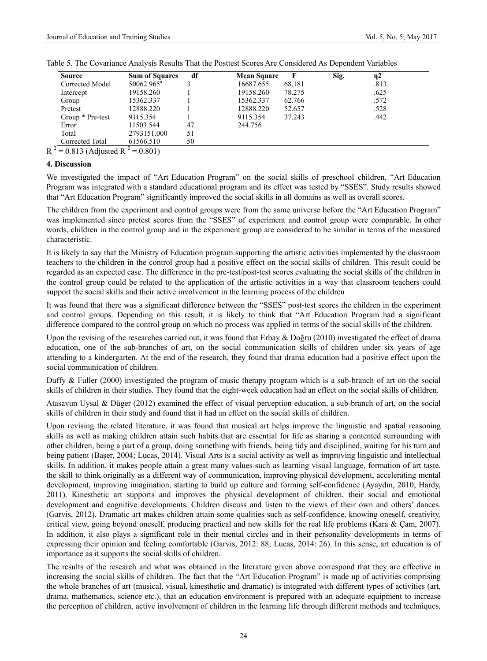| <b>Source</b>    | <b>Sum of Squares</b>  | df | <b>Mean Square</b> |        | Sig. | η2   |
|------------------|------------------------|----|--------------------|--------|------|------|
| Corrected Model  | $50062.965^{\text{a}}$ |    | 16687.655          | 68.181 |      | .813 |
| Intercept        | 19158.260              |    | 19158.260          | 78.275 |      | .625 |
| Group            | 15362.337              |    | 15362.337          | 62.766 |      | .572 |
| Pretest          | 12888.220              |    | 12888.220          | 52.657 |      | .528 |
| Group * Pre-test | 9115.354               |    | 9115.354           | 37.243 |      | .442 |
| Error            | 11503.544              | 47 | 244.756            |        |      |      |
| Total            | 2793151.000            | 51 |                    |        |      |      |
| Corrected Total  | 61566.510              | 50 |                    |        |      |      |

Table 5. The Covariance Analysis Results That the Posttest Scores Are Considered As Dependent Variables

# **4. Discussion**

We investigated the impact of "Art Education Program" on the social skills of preschool children. "Art Education Program was integrated with a standard educational program and its effect was tested by "SSES". Study results showed that "Art Education Program" significantly improved the social skills in all domains as well as overall scores.

The children from the experiment and control groups were from the same universe before the "Art Education Program" was implemented since pretest scores from the "SSES" of experiment and control group were comparable. In other words, children in the control group and in the experiment group are considered to be similar in terms of the measured characteristic.

It is likely to say that the Ministry of Education program supporting the artistic activities implemented by the classroom teachers to the children in the control group had a positive effect on the social skills of children. This result could be regarded as an expected case. The difference in the pre-test/post-test scores evaluating the social skills of the children in the control group could be related to the application of the artistic activities in a way that classroom teachers could support the social skills and their active involvement in the learning process of the children

It was found that there was a significant difference between the "SSES" post-test scores the children in the experiment and control groups. Depending on this result, it is likely to think that "Art Education Program had a significant difference compared to the control group on which no process was applied in terms of the social skills of the children.

Upon the revising of the researches carried out, it was found that Erbay & Doğru (2010) investigated the effect of drama education, one of the sub-branches of art, on the social communication skills of children under six years of age attending to a kindergarten. At the end of the research, they found that drama education had a positive effect upon the social communication of children.

Duffy & Fuller (2000) investigated the program of music therapy program which is a sub-branch of art on the social skills of children in their studies. They found that the eight-week education had an effect on the social skills of children.

Atasavun Uysal & Düger (2012) examined the effect of visual perception education, a sub-branch of art, on the social skills of children in their study and found that it had an effect on the social skills of children.

Upon revising the related literature, it was found that musical art helps improve the linguistic and spatial reasoning skills as well as making children attain such habits that are essential for life as sharing a contented surrounding with other children, being a part of a group, doing something with friends, being tidy and disciplined, waiting for his turn and being patient (Başer, 2004; Lucas, 2014). Visual Arts is a social activity as well as improving linguistic and intellectual skills. In addition, it makes people attain a great many values such as learning visual language, formation of art taste, the skill to think originally as a different way of communication, improving physical development, accelerating mental development, improving imagination, starting to build up culture and forming self-confidence (Ayaydın, 2010; Hardy, 2011). Kinesthetic art supports and improves the physical development of children, their social and emotional development and cognitive developments. Children discuss and listen to the views of their own and others' dances. (Garvis, 2012). Dramatic art makes children attain some qualities such as self-confidence, knowing oneself, creativity, critical view, going beyond oneself, producing practical and new skills for the real life problems (Kara  $\&$  Cam, 2007). In addition, it also plays a significant role in their mental circles and in their personality developments in terms of expressing their opinion and feeling comfortable (Garvis, 2012: 88; Lucas, 2014: 26). In this sense, art education is of importance as it supports the social skills of children.

The results of the research and what was obtained in the literature given above correspond that they are effective in increasing the social skills of children. The fact that the "Art Education Program" is made up of activities comprising the whole branches of art (musical, visual, kinesthetic and dramatic) is integrated with different types of activities (art, drama, mathematics, science etc.), that an education environment is prepared with an adequate equipment to increase the perception of children, active involvement of children in the learning life through different methods and techniques,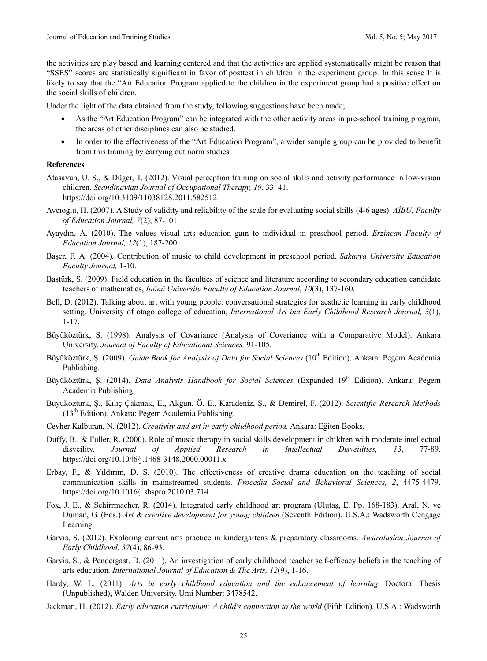the activities are play based and learning centered and that the activities are applied systematically might be reason that "SSES" scores are statistically significant in favor of posttest in children in the experiment group. In this sense It is likely to say that the "Art Education Program applied to the children in the experiment group had a positive effect on the social skills of children.

Under the light of the data obtained from the study, following suggestions have been made;

- As the "Art Education Program" can be integrated with the other activity areas in pre-school training program, the areas of other disciplines can also be studied.
- In order to the effectiveness of the "Art Education Program", a wider sample group can be provided to benefit from this training by carrying out norm studies.

#### **References**

- Atasavun, U. S., & Düger, T. (2012). Visual perception training on social skills and activity performance in low-vision children. *Scandinavian Journal of Occupational Therapy, 19*, 33–41. https://doi.org/10.3109/11038128.2011.582512
- Avcıoğlu, H. (2007). A Study of validity and reliability of the scale for evaluating social skills (4-6 ages). *AİBU, Faculty of Education Journal, 7*(2), 87-101.
- Ayaydın, A. (2010). The values visual arts education gaın to individual in preschool period. *Erzincan Faculty of Education Journal, 12*(1), 187-200.
- Başer, F. A. (2004). Contribution of music to child development in preschool period. *Sakarya University Education Faculty Journal,* 1-10.
- Baştürk, S. (2009). Field education in the faculties of science and literature according to secondary education candidate teachers of mathematics, *İnönü University Faculty of Education Journal*, *10*(3), 137-160.
- Bell, D. (2012). Talking about art with young people: conversational strategies for aesthetic learning in early childhood setting. University of otago college of education, *International Art inn Early Childhood Research Journal, 3*(1), 1-17.
- Büyüköztürk, Ş. (1998). Analysis of Covariance (Analysis of Covariance with a Comparative Model). Ankara University. *Journal of Faculty of Educational Sciences,* 91-105.
- Büyüköztürk, Ş. (2009). *Guide Book for Analysis of Data for Social Sciences* (10<sup>th</sup> Edition). Ankara: Pegem Academia Publishing.
- Büyüköztürk, Ş. (2014). *Data Analysis Handbook for Social Sciences* (Expanded 19th Edition). Ankara: Pegem Academia Publishing.
- Büyüköztürk, Ş., Kılıç Çakmak, E., Akgün, Ö. E., Karadeniz, Ş., & Demirel, F. (2012). *Scientific Research Methods*   $(13<sup>th</sup> Edition)$ . Ankara: Pegem Academia Publishing.
- Cevher Kalburan, N. (2012). *Creativity and art in early childhood period.* Ankara: Eğiten Books.
- Duffy, B., & Fuller, R. (2000). Role of music therapy in social skills development in children with moderate intellectual disveility. *Journal of Applied Research in Intellectual Disveilities, 13*, 77-89. https://doi.org/10.1046/j.1468-3148.2000.00011.x
- Erbay, F., & Yıldırım, D. S. (2010). The effectiveness of creative drama education on the teaching of social communication skills in mainstreamed students. *Procedia Social and Behavioral Sciences, 2*, 4475-4479. https://doi.org/10.1016/j.sbspro.2010.03.714
- Fox, J. E., & Schirrmacher, R. (2014). Integrated early childhood art program (Ulutaş, E. Pp. 168-183). Aral, N. ve Duman, G. (Eds.) *Art & creative development for young children* (Seventh Edition). U.S.A.: Wadsworth Cengage Learning.
- Garvis, S. (2012). Exploring current arts practice in kindergartens & preparatory classrooms. *Australasian Journal of Early Childhood*, *37*(4), 86-93.
- Garvis, S., & Pendergast, D. (2011). An investigation of early childhood teacher self-efficacy beliefs in the teaching of arts education*. International Journal of Education & The Arts, 12*(9), 1-16.
- Hardy, W. L. (2011). *Arts in early childhood education and the enhancement of learning*. Doctoral Thesis (Unpublished), Walden University, Umi Number: 3478542.
- Jackman, H. (2012). *Early education curriculum: A child's connection to the world* (Fifth Edition). U.S.A.: Wadsworth